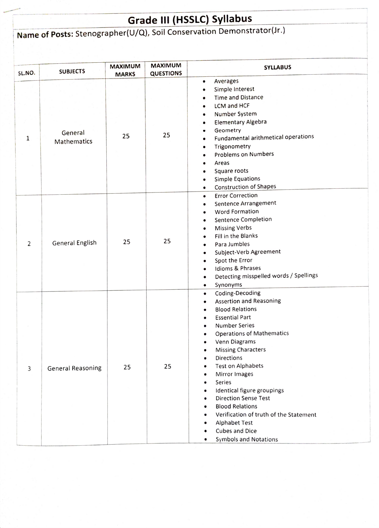## Grade III (HSSLC) Syllabus

## Name of Posts: Stenographer(U/Q), Soil Conservation Demonstrator(Jr.)

| SL.NO. | <b>SUBJECTS</b>          | <b>MAXIMUM</b><br><b>MARKS</b> | <b>MAXIMUM</b><br><b>QUESTIONS</b> | <b>SYLLABUS</b>                                                                                                                                                                                                                                                                                                                                                                                                                                                                                                                                                                                                                                      |
|--------|--------------------------|--------------------------------|------------------------------------|------------------------------------------------------------------------------------------------------------------------------------------------------------------------------------------------------------------------------------------------------------------------------------------------------------------------------------------------------------------------------------------------------------------------------------------------------------------------------------------------------------------------------------------------------------------------------------------------------------------------------------------------------|
| 1      | General<br>Mathematics   | 25                             | 25                                 | Averages<br>$\bullet$<br>Simple Interest<br>$\bullet$<br>Time and Distance<br>LCM and HCF<br>Number System<br>٠<br>Elementary Algebra<br>٠<br>Geometry<br>٠<br>Fundamental arithmetical operations<br>$\bullet$<br>Trigonometry<br>$\bullet$<br>Problems on Numbers<br>Areas<br>Square roots<br><b>Simple Equations</b><br>$\bullet$<br><b>Construction of Shapes</b><br>$\bullet$                                                                                                                                                                                                                                                                   |
| 2      | General English          | 25                             | 25                                 | <b>Error Correction</b><br>$\bullet$<br>Sentence Arrangement<br>$\bullet$<br>Word Formation<br>Sentence Completion<br>٠<br><b>Missing Verbs</b><br>$\bullet$<br>Fill in the Blanks<br>Para Jumbles<br>$\bullet$<br>Subject-Verb Agreement<br>$\bullet$<br>Spot the Error<br>$\bullet$<br>Idioms & Phrases<br>Detecting misspelled words / Spellings<br>$\bullet$<br>Synonyms<br>$\bullet$                                                                                                                                                                                                                                                            |
| 3      | <b>General Reasoning</b> | 25                             | 25                                 | Coding-Decoding<br>$\bullet$<br><b>Assertion and Reasoning</b><br>$\bullet$<br><b>Blood Relations</b><br>$\bullet$<br><b>Essential Part</b><br><b>Number Series</b><br><b>Operations of Mathematics</b><br>Venn Diagrams<br><b>Missing Characters</b><br>$\bullet$<br>Directions<br>$\bullet$<br><b>Test on Alphabets</b><br>٠<br>Mirror Images<br>$\bullet$<br>Series<br>$\bullet$<br>Identical figure groupings<br>$\bullet$<br><b>Direction Sense Test</b><br>$\bullet$<br><b>Blood Relations</b><br>$\bullet$<br>Verification of truth of the Statement<br>٠<br><b>Alphabet Test</b><br>٠<br>Cubes and Dice<br>٠<br><b>Symbols and Notations</b> |